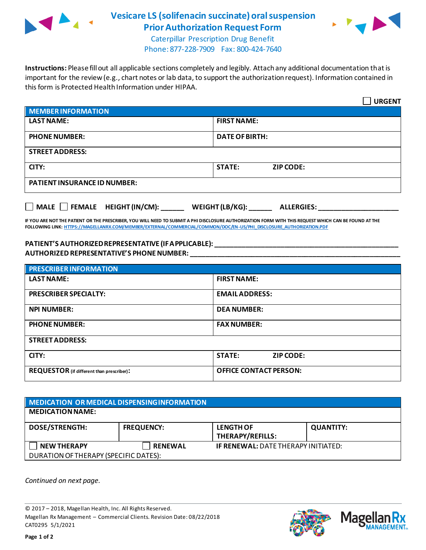

## **Vesicare LS (solifenacin succinate) oral suspension Prior Authorization Request Form**



Caterpillar Prescription Drug Benefit Phone: 877-228-7909 Fax: 800-424-7640

**Instructions:** Please fill out all applicable sections completely and legibly. Attach any additional documentation that is important for the review (e.g., chart notes or lab data, to support the authorization request). Information contained in this form is Protected Health Information under HIPAA.

|                                                                                   | <b>URGENT</b>                     |  |  |  |
|-----------------------------------------------------------------------------------|-----------------------------------|--|--|--|
| <b>MEMBER INFORMATION</b>                                                         |                                   |  |  |  |
| <b>LAST NAME:</b>                                                                 | <b>FIRST NAME:</b>                |  |  |  |
| <b>PHONE NUMBER:</b>                                                              | <b>DATE OF BIRTH:</b>             |  |  |  |
| <b>STREET ADDRESS:</b>                                                            |                                   |  |  |  |
| CITY:                                                                             | <b>STATE:</b><br><b>ZIP CODE:</b> |  |  |  |
| <b>PATIENT INSURANCE ID NUMBER:</b>                                               |                                   |  |  |  |
| $\Box$ MALE $\Box$ FEMALE HEIGHT (IN/CM):<br>WEIGHT (LB/KG):<br><b>ALLERGIES:</b> |                                   |  |  |  |

**IF YOU ARE NOT THE PATIENT OR THE PRESCRIBER, YOU WILL NEED TO SUBMIT A PHI DISCLOSURE AUTHORIZATION FORM WITH THIS REQUEST WHICH CAN BE FOUND AT THE FOLLOWING LINK[: HTTPS://MAGELLANRX.COM/MEMBER/EXTERNAL/COMMERCIAL/COMMON/DOC/EN-US/PHI\\_DISCLOSURE\\_AUTHORIZATION.PDF](https://magellanrx.com/member/external/commercial/common/doc/en-us/PHI_Disclosure_Authorization.pdf)**

## **PATIENT'S AUTHORIZED REPRESENTATIVE (IF APPLICABLE): \_\_\_\_\_\_\_\_\_\_\_\_\_\_\_\_\_\_\_\_\_\_\_\_\_\_\_\_\_\_\_\_\_\_\_\_\_\_\_\_\_\_\_\_\_\_\_\_ AUTHORIZED REPRESENTATIVE'S PHONE NUMBER: \_\_\_\_\_\_\_\_\_\_\_\_\_\_\_\_\_\_\_\_\_\_\_\_\_\_\_\_\_\_\_\_\_\_\_\_\_\_\_\_\_\_\_\_\_\_\_\_\_\_\_\_\_\_\_**

| <b>PRESCRIBER INFORMATION</b>             |                                   |  |  |  |
|-------------------------------------------|-----------------------------------|--|--|--|
| <b>LAST NAME:</b>                         | <b>FIRST NAME:</b>                |  |  |  |
| <b>PRESCRIBER SPECIALTY:</b>              | <b>EMAIL ADDRESS:</b>             |  |  |  |
| <b>NPI NUMBER:</b>                        | <b>DEA NUMBER:</b>                |  |  |  |
| <b>PHONE NUMBER:</b>                      | <b>FAX NUMBER:</b>                |  |  |  |
| <b>STREET ADDRESS:</b>                    |                                   |  |  |  |
| CITY:                                     | <b>STATE:</b><br><b>ZIP CODE:</b> |  |  |  |
| REQUESTOR (if different than prescriber): | <b>OFFICE CONTACT PERSON:</b>     |  |  |  |

| MEDICATION OR MEDICAL DISPENSING INFORMATION |                   |                                             |                  |  |  |
|----------------------------------------------|-------------------|---------------------------------------------|------------------|--|--|
| <b>MEDICATION NAME:</b>                      |                   |                                             |                  |  |  |
| <b>DOSE/STRENGTH:</b>                        | <b>FREQUENCY:</b> | <b>LENGTH OF</b><br><b>THERAPY/REFILLS:</b> | <b>QUANTITY:</b> |  |  |
| <b>NEW THERAPY</b>                           | <b>RENEWAL</b>    | <b>IF RENEWAL: DATE THERAPY INITIATED:</b>  |                  |  |  |
| DURATION OF THERAPY (SPECIFIC DATES):        |                   |                                             |                  |  |  |

*Continued on next page.*

© 2017 – 2018, Magellan Health, Inc. All Rights Reserved. Magellan Rx Management – Commercial Clients. Revision Date: 08/22/2018 CAT0295 5/1/2021